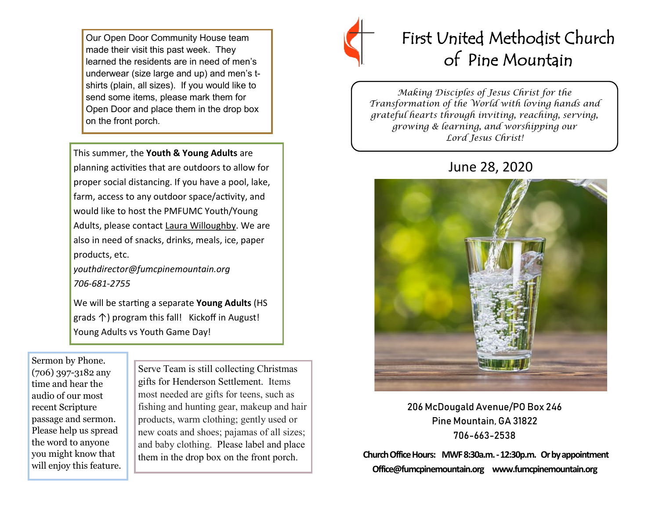Our Open Door Community House team made their visit this past week. They learned the residents are in need of men's underwear (size large and up) and men's tshirts (plain, all sizes). If you would like to send some items, please mark them for Open Door and place them in the drop box on the front porch.

This summer, the **Youth & Young Adults** are planning activities that are outdoors to allow for proper social distancing. If you have a pool, lake, farm, access to any outdoor space/activity, and would like to host the PMFUMC Youth/Young Adults, please contact Laura Willoughby. We are also in need of snacks, drinks, meals, ice, paper products, etc.

*youthdirector@fumcpinemountain.org 706-681-2755*

We will be starting a separate **Young Adults** (HS grads ↑) program this fall! Kickoff in August! Young Adults vs Youth Game Day!

Sermon by Phone. (706) 397-3182 any time and hear the audio of our most recent Scripture passage and sermon. Please help us spread the word to anyone you might know that will enjoy this feature.

Serve Team is still collecting Christmas gifts for Henderson Settlement. Items most needed are gifts for teens, such as fishing and hunting gear, makeup and hair products, warm clothing; gently used or new coats and shoes; pajamas of all sizes; and baby clothing. Please label and place them in the drop box on the front porch.



# First United Methodist Church of Pine Mountain

*Making Disciples of Jesus Christ for the Transformation of the World with loving hands and grateful hearts through inviting, reaching, serving, growing & learning, and worshipping our Lord Jesus Christ!* 

# June 28, 2020



206 McDougald Avenue/PO Box 246 Pine Mountain, GA 31822 706-663-2538

**Church Office Hours: MWF 8:30a.m. -12:30p.m. Or by appointment Office@fumcpinemountain.org www.fumcpinemountain.org**